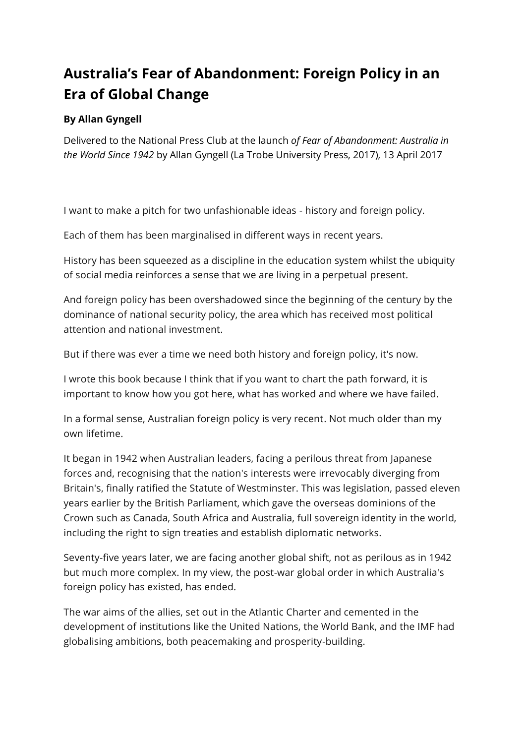## **Australia's Fear of Abandonment: Foreign Policy in an Era of Global Change**

## **By Allan Gyngell**

Delivered to the National Press Club at the launch *of Fear of Abandonment: Australia in the World Since 1942* by Allan Gyngell (La Trobe University Press, 2017), 13 April 2017

I want to make a pitch for two unfashionable ideas - history and foreign policy.

Each of them has been marginalised in different ways in recent years.

History has been squeezed as a discipline in the education system whilst the ubiquity of social media reinforces a sense that we are living in a perpetual present.

And foreign policy has been overshadowed since the beginning of the century by the dominance of national security policy, the area which has received most political attention and national investment.

But if there was ever a time we need both history and foreign policy, it's now.

I wrote this book because I think that if you want to chart the path forward, it is important to know how you got here, what has worked and where we have failed.

In a formal sense, Australian foreign policy is very recent. Not much older than my own lifetime.

It began in 1942 when Australian leaders, facing a perilous threat from Japanese forces and, recognising that the nation's interests were irrevocably diverging from Britain's, finally ratified the Statute of Westminster. This was legislation, passed eleven years earlier by the British Parliament, which gave the overseas dominions of the Crown such as Canada, South Africa and Australia, full sovereign identity in the world, including the right to sign treaties and establish diplomatic networks.

Seventy-five years later, we are facing another global shift, not as perilous as in 1942 but much more complex. In my view, the post-war global order in which Australia's foreign policy has existed, has ended.

The war aims of the allies, set out in the Atlantic Charter and cemented in the development of institutions like the United Nations, the World Bank, and the IMF had globalising ambitions, both peacemaking and prosperity-building.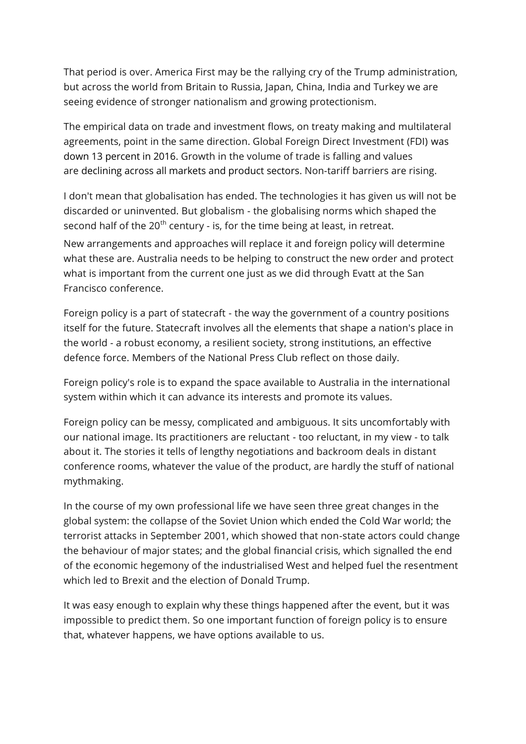That period is over. America First may be the rallying cry of the Trump administration, but across the world from Britain to Russia, Japan, China, India and Turkey we are seeing evidence of stronger nationalism and growing protectionism.

The empirical data on trade and investment flows, on treaty making and multilateral agreements, point in the same direction. Global Foreign Direct Investment (FDI) was down 13 percent in 2016. Growth in the volume of trade is falling and values are declining across all markets and product sectors. Non-tariff barriers are rising.

I don't mean that globalisation has ended. The technologies it has given us will not be discarded or uninvented. But globalism - the globalising norms which shaped the second half of the  $20<sup>th</sup>$  century - is, for the time being at least, in retreat.

New arrangements and approaches will replace it and foreign policy will determine what these are. Australia needs to be helping to construct the new order and protect what is important from the current one just as we did through Evatt at the San Francisco conference.

Foreign policy is a part of statecraft - the way the government of a country positions itself for the future. Statecraft involves all the elements that shape a nation's place in the world - a robust economy, a resilient society, strong institutions, an effective defence force. Members of the National Press Club reflect on those daily.

Foreign policy's role is to expand the space available to Australia in the international system within which it can advance its interests and promote its values.

Foreign policy can be messy, complicated and ambiguous. It sits uncomfortably with our national image. Its practitioners are reluctant - too reluctant, in my view - to talk about it. The stories it tells of lengthy negotiations and backroom deals in distant conference rooms, whatever the value of the product, are hardly the stuff of national mythmaking.

In the course of my own professional life we have seen three great changes in the global system: the collapse of the Soviet Union which ended the Cold War world; the terrorist attacks in September 2001, which showed that non-state actors could change the behaviour of major states; and the global financial crisis, which signalled the end of the economic hegemony of the industrialised West and helped fuel the resentment which led to Brexit and the election of Donald Trump.

It was easy enough to explain why these things happened after the event, but it was impossible to predict them. So one important function of foreign policy is to ensure that, whatever happens, we have options available to us.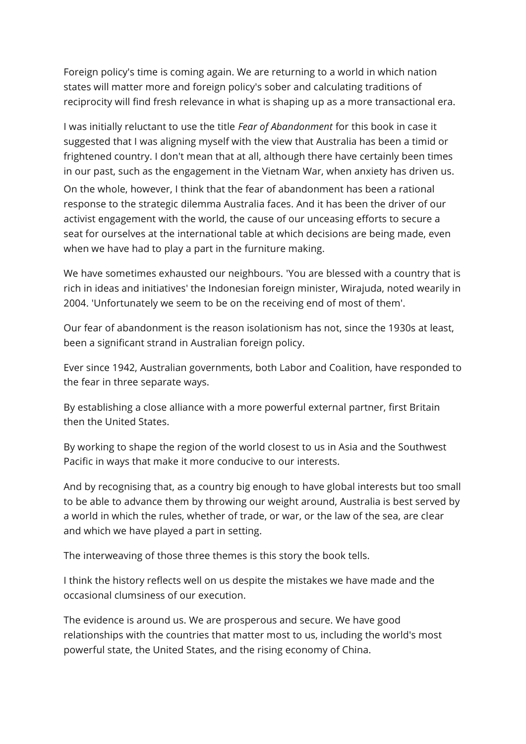Foreign policy's time is coming again. We are returning to a world in which nation states will matter more and foreign policy's sober and calculating traditions of reciprocity will find fresh relevance in what is shaping up as a more transactional era.

I was initially reluctant to use the title *Fear of Abandonment* for this book in case it suggested that I was aligning myself with the view that Australia has been a timid or frightened country. I don't mean that at all, although there have certainly been times in our past, such as the engagement in the Vietnam War, when anxiety has driven us. On the whole, however, I think that the fear of abandonment has been a rational response to the strategic dilemma Australia faces. And it has been the driver of our activist engagement with the world, the cause of our unceasing efforts to secure a seat for ourselves at the international table at which decisions are being made, even when we have had to play a part in the furniture making.

We have sometimes exhausted our neighbours. 'You are blessed with a country that is rich in ideas and initiatives' the Indonesian foreign minister, Wirajuda, noted wearily in 2004. 'Unfortunately we seem to be on the receiving end of most of them'.

Our fear of abandonment is the reason isolationism has not, since the 1930s at least, been a significant strand in Australian foreign policy.

Ever since 1942, Australian governments, both Labor and Coalition, have responded to the fear in three separate ways.

By establishing a close alliance with a more powerful external partner, first Britain then the United States.

By working to shape the region of the world closest to us in Asia and the Southwest Pacific in ways that make it more conducive to our interests.

And by recognising that, as a country big enough to have global interests but too small to be able to advance them by throwing our weight around, Australia is best served by a world in which the rules, whether of trade, or war, or the law of the sea, are clear and which we have played a part in setting.

The interweaving of those three themes is this story the book tells.

I think the history reflects well on us despite the mistakes we have made and the occasional clumsiness of our execution.

The evidence is around us. We are prosperous and secure. We have good relationships with the countries that matter most to us, including the world's most powerful state, the United States, and the rising economy of China.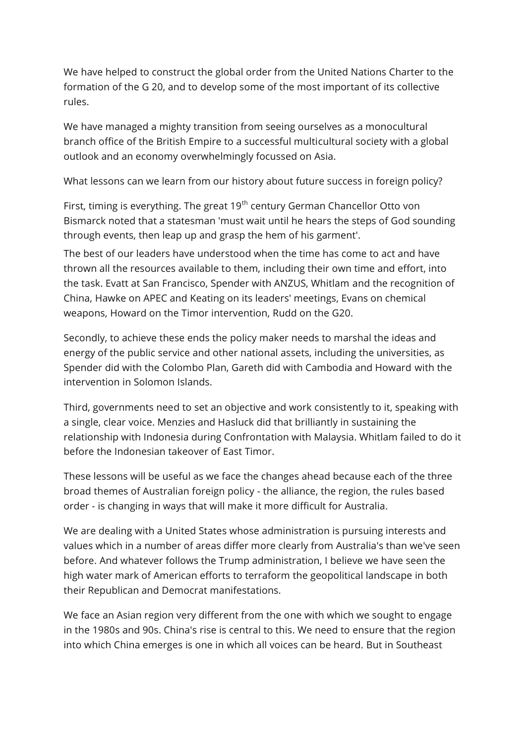We have helped to construct the global order from the United Nations Charter to the formation of the G 20, and to develop some of the most important of its collective rules.

We have managed a mighty transition from seeing ourselves as a monocultural branch office of the British Empire to a successful multicultural society with a global outlook and an economy overwhelmingly focussed on Asia.

What lessons can we learn from our history about future success in foreign policy?

First, timing is everything. The great 19<sup>th</sup> century German Chancellor Otto von Bismarck noted that a statesman 'must wait until he hears the steps of God sounding through events, then leap up and grasp the hem of his garment'.

The best of our leaders have understood when the time has come to act and have thrown all the resources available to them, including their own time and effort, into the task. Evatt at San Francisco, Spender with ANZUS, Whitlam and the recognition of China, Hawke on APEC and Keating on its leaders' meetings, Evans on chemical weapons, Howard on the Timor intervention, Rudd on the G20.

Secondly, to achieve these ends the policy maker needs to marshal the ideas and energy of the public service and other national assets, including the universities, as Spender did with the Colombo Plan, Gareth did with Cambodia and Howard with the intervention in Solomon Islands.

Third, governments need to set an objective and work consistently to it, speaking with a single, clear voice. Menzies and Hasluck did that brilliantly in sustaining the relationship with Indonesia during Confrontation with Malaysia. Whitlam failed to do it before the Indonesian takeover of East Timor.

These lessons will be useful as we face the changes ahead because each of the three broad themes of Australian foreign policy - the alliance, the region, the rules based order - is changing in ways that will make it more difficult for Australia.

We are dealing with a United States whose administration is pursuing interests and values which in a number of areas differ more clearly from Australia's than we've seen before. And whatever follows the Trump administration, I believe we have seen the high water mark of American efforts to terraform the geopolitical landscape in both their Republican and Democrat manifestations.

We face an Asian region very different from the one with which we sought to engage in the 1980s and 90s. China's rise is central to this. We need to ensure that the region into which China emerges is one in which all voices can be heard. But in Southeast